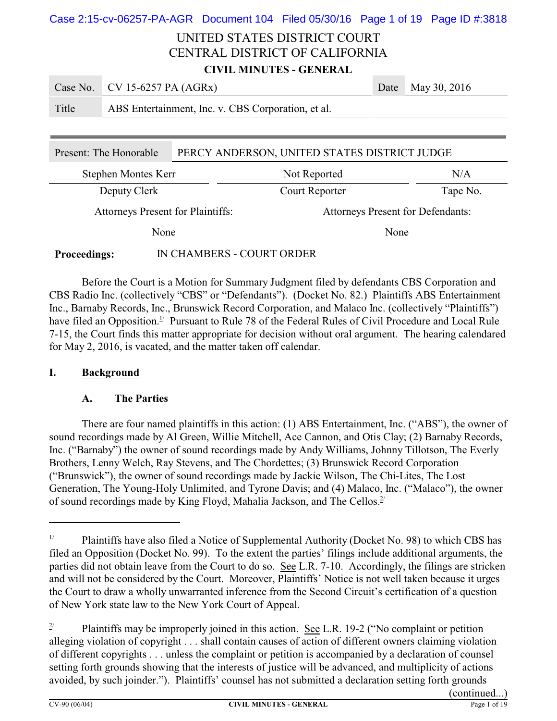| Case 2:15-cv-06257-PA-AGR Document 104 Filed 05/30/16 Page 1 of 19 Page ID #:3818 |                                                                        |  |                            |                                |      |              |
|-----------------------------------------------------------------------------------|------------------------------------------------------------------------|--|----------------------------|--------------------------------|------|--------------|
|                                                                                   |                                                                        |  |                            | UNITED STATES DISTRICT COURT   |      |              |
|                                                                                   |                                                                        |  |                            | CENTRAL DISTRICT OF CALIFORNIA |      |              |
| <b>CIVIL MINUTES - GENERAL</b>                                                    |                                                                        |  |                            |                                |      |              |
| Case No.                                                                          | CV 15-6257 PA (AGRx)                                                   |  |                            |                                | Date | May 30, 2016 |
| Title                                                                             | ABS Entertainment, Inc. v. CBS Corporation, et al.                     |  |                            |                                |      |              |
|                                                                                   |                                                                        |  |                            |                                |      |              |
|                                                                                   | PERCY ANDERSON, UNITED STATES DISTRICT JUDGE<br>Present: The Honorable |  |                            |                                |      |              |
|                                                                                   | Stephen Montes Kerr                                                    |  |                            | Not Reported                   |      | N/A          |
| Deputy Clerk                                                                      |                                                                        |  | Tape No.<br>Court Reporter |                                |      |              |
| <b>Attorneys Present for Plaintiffs:</b><br>Attorneys Present for Defendants:     |                                                                        |  |                            |                                |      |              |
| None<br>None                                                                      |                                                                        |  |                            |                                |      |              |

### **Proceedings:** IN CHAMBERS - COURT ORDER

Before the Court is a Motion for Summary Judgment filed by defendants CBS Corporation and CBS Radio Inc. (collectively "CBS" or "Defendants"). (Docket No. 82.) Plaintiffs ABS Entertainment Inc., Barnaby Records, Inc., Brunswick Record Corporation, and Malaco Inc. (collectively "Plaintiffs") have filed an Opposition.<sup>1/</sup> Pursuant to Rule 78 of the Federal Rules of Civil Procedure and Local Rule 7-15, the Court finds this matter appropriate for decision without oral argument. The hearing calendared for May 2, 2016, is vacated, and the matter taken off calendar.

### **I. Background**

### **A. The Parties**

There are four named plaintiffs in this action: (1) ABS Entertainment, Inc. ("ABS"), the owner of sound recordings made by Al Green, Willie Mitchell, Ace Cannon, and Otis Clay; (2) Barnaby Records, Inc. ("Barnaby") the owner of sound recordings made by Andy Williams, Johnny Tillotson, The Everly Brothers, Lenny Welch, Ray Stevens, and The Chordettes; (3) Brunswick Record Corporation ("Brunswick"), the owner of sound recordings made by Jackie Wilson, The Chi-Lites, The Lost Generation, The Young-Holy Unlimited, and Tyrone Davis; and (4) Malaco, Inc. ("Malaco"), the owner of sound recordings made by King Floyd, Mahalia Jackson, and The Cellos.<sup>2/</sup>

<sup>&</sup>lt;sup>1/</sup> Plaintiffs have also filed a Notice of Supplemental Authority (Docket No. 98) to which CBS has filed an Opposition (Docket No. 99). To the extent the parties' filings include additional arguments, the parties did not obtain leave from the Court to do so. See L.R. 7-10. Accordingly, the filings are stricken and will not be considered by the Court. Moreover, Plaintiffs' Notice is not well taken because it urges the Court to draw a wholly unwarranted inference from the Second Circuit's certification of a question of New York state law to the New York Court of Appeal.

<sup>&</sup>lt;sup>2/</sup> Plaintiffs may be improperly joined in this action. See L.R. 19-2 ("No complaint or petition alleging violation of copyright . . . shall contain causes of action of different owners claiming violation of different copyrights . . . unless the complaint or petition is accompanied by a declaration of counsel setting forth grounds showing that the interests of justice will be advanced, and multiplicity of actions avoided, by such joinder."). Plaintiffs' counsel has not submitted a declaration setting forth grounds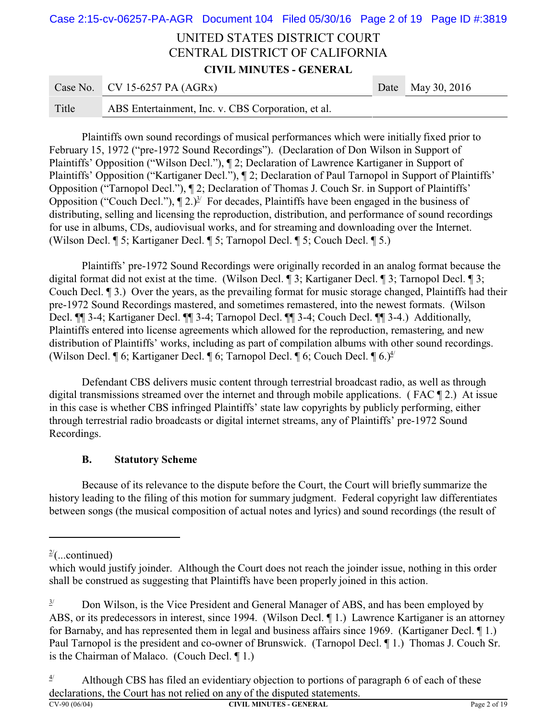# UNITED STATES DISTRICT COURT CENTRAL DISTRICT OF CALIFORNIA **CIVIL MINUTES - GENERAL** Case 2:15-cv-06257-PA-AGR Document 104 Filed 05/30/16 Page 2 of 19 Page ID #:3819

|       | Case No. CV 15-6257 PA $(AGRx)$                    | Date May 30, 2016 |
|-------|----------------------------------------------------|-------------------|
| Title | ABS Entertainment, Inc. v. CBS Corporation, et al. |                   |

Plaintiffs own sound recordings of musical performances which were initially fixed prior to February 15, 1972 ("pre-1972 Sound Recordings"). (Declaration of Don Wilson in Support of Plaintiffs' Opposition ("Wilson Decl."), ¶ 2; Declaration of Lawrence Kartiganer in Support of Plaintiffs' Opposition ("Kartiganer Decl."), ¶ 2; Declaration of Paul Tarnopol in Support of Plaintiffs' Opposition ("Tarnopol Decl."), ¶ 2; Declaration of Thomas J. Couch Sr. in Support of Plaintiffs' Opposition ("Couch Decl."),  $\P$  2.)<sup>3/</sup> For decades, Plaintiffs have been engaged in the business of distributing, selling and licensing the reproduction, distribution, and performance of sound recordings for use in albums, CDs, audiovisual works, and for streaming and downloading over the Internet. (Wilson Decl. ¶ 5; Kartiganer Decl. ¶ 5; Tarnopol Decl. ¶ 5; Couch Decl. ¶ 5.)

Plaintiffs' pre-1972 Sound Recordings were originally recorded in an analog format because the digital format did not exist at the time. (Wilson Decl. ¶ 3; Kartiganer Decl. ¶ 3; Tarnopol Decl. ¶ 3; Couch Decl. ¶ 3.) Over the years, as the prevailing format for music storage changed, Plaintiffs had their pre-1972 Sound Recordings mastered, and sometimes remastered, into the newest formats. (Wilson Decl. ¶¶ 3-4; Kartiganer Decl. ¶¶ 3-4; Tarnopol Decl. ¶¶ 3-4; Couch Decl. ¶¶ 3-4.) Additionally, Plaintiffs entered into license agreements which allowed for the reproduction, remastering, and new distribution of Plaintiffs' works, including as part of compilation albums with other sound recordings. (Wilson Decl.  $\P$  6; Kartiganer Decl.  $\P$  6; Tarnopol Decl.  $\P$  6; Couch Decl.  $\P$  6.)<sup> $\angle$ </sup>

Defendant CBS delivers music content through terrestrial broadcast radio, as well as through digital transmissions streamed over the internet and through mobile applications. ( FAC ¶ 2.) At issue in this case is whether CBS infringed Plaintiffs' state law copyrights by publicly performing, either through terrestrial radio broadcasts or digital internet streams, any of Plaintiffs' pre-1972 Sound Recordings.

### **B. Statutory Scheme**

Because of its relevance to the dispute before the Court, the Court will briefly summarize the history leading to the filing of this motion for summary judgment. Federal copyright law differentiates between songs (the musical composition of actual notes and lyrics) and sound recordings (the result of

 $2^{\prime}$ (...continued)

which would justify joinder. Although the Court does not reach the joinder issue, nothing in this order shall be construed as suggesting that Plaintiffs have been properly joined in this action.

 $3/$  Don Wilson, is the Vice President and General Manager of ABS, and has been employed by ABS, or its predecessors in interest, since 1994. (Wilson Decl. ¶ 1.) Lawrence Kartiganer is an attorney for Barnaby, and has represented them in legal and business affairs since 1969. (Kartiganer Decl. ¶ 1.) Paul Tarnopol is the president and co-owner of Brunswick. (Tarnopol Decl. ¶ 1.) Thomas J. Couch Sr. is the Chairman of Malaco. (Couch Decl. ¶ 1.)

 $\frac{4}{1}$  Although CBS has filed an evidentiary objection to portions of paragraph 6 of each of these declarations, the Court has not relied on any of the disputed statements.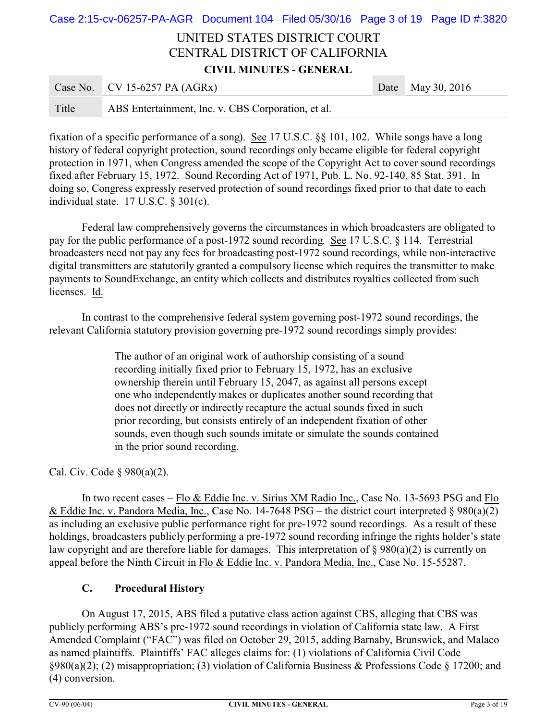# UNITED STATES DISTRICT COURT CENTRAL DISTRICT OF CALIFORNIA **CIVIL MINUTES - GENERAL**  $\frac{Case No}{CVA}$  CV 15-6257 PA (AGRy) Date May 30, 2016 Case 2:15-cv-06257-PA-AGR Document 104 Filed 05/30/16 Page 3 of 19 Page ID #:3820

|       | Case I to: $C \vee D \vee D$                       | $Daw = may \, y_0, 2010$ |
|-------|----------------------------------------------------|--------------------------|
| Title | ABS Entertainment, Inc. v. CBS Corporation, et al. |                          |

fixation of a specific performance of a song). See 17 U.S.C. §§ 101, 102. While songs have a long history of federal copyright protection, sound recordings only became eligible for federal copyright protection in 1971, when Congress amended the scope of the Copyright Act to cover sound recordings fixed after February 15, 1972. Sound Recording Act of 1971, Pub. L. No. 92-140, 85 Stat. 391. In doing so, Congress expressly reserved protection of sound recordings fixed prior to that date to each individual state. 17 U.S.C. § 301(c).

Federal law comprehensively governs the circumstances in which broadcasters are obligated to pay for the public performance of a post-1972 sound recording. See 17 U.S.C. § 114. Terrestrial broadcasters need not pay any fees for broadcasting post-1972 sound recordings, while non-interactive digital transmitters are statutorily granted a compulsory license which requires the transmitter to make payments to SoundExchange, an entity which collects and distributes royalties collected from such licenses. Id.

In contrast to the comprehensive federal system governing post-1972 sound recordings, the relevant California statutory provision governing pre-1972 sound recordings simply provides:

> The author of an original work of authorship consisting of a sound recording initially fixed prior to February 15, 1972, has an exclusive ownership therein until February 15, 2047, as against all persons except one who independently makes or duplicates another sound recording that does not directly or indirectly recapture the actual sounds fixed in such prior recording, but consists entirely of an independent fixation of other sounds, even though such sounds imitate or simulate the sounds contained in the prior sound recording.

Cal. Civ. Code § 980(a)(2).

In two recent cases – Flo & Eddie Inc. v. Sirius XM Radio Inc., Case No. 13-5693 PSG and Flo & Eddie Inc. v. Pandora Media, Inc., Case No. 14-7648 PSG – the district court interpreted § 980(a)(2) as including an exclusive public performance right for pre-1972 sound recordings. As a result of these holdings, broadcasters publicly performing a pre-1972 sound recording infringe the rights holder's state law copyright and are therefore liable for damages. This interpretation of § 980(a)(2) is currently on appeal before the Ninth Circuit in Flo & Eddie Inc. v. Pandora Media, Inc., Case No. 15-55287.

## **C. Procedural History**

On August 17, 2015, ABS filed a putative class action against CBS, alleging that CBS was publicly performing ABS's pre-1972 sound recordings in violation of California state law. A First Amended Complaint ("FAC") was filed on October 29, 2015, adding Barnaby, Brunswick, and Malaco as named plaintiffs. Plaintiffs' FAC alleges claims for: (1) violations of California Civil Code §980(a)(2); (2) misappropriation; (3) violation of California Business & Professions Code § 17200; and (4) conversion.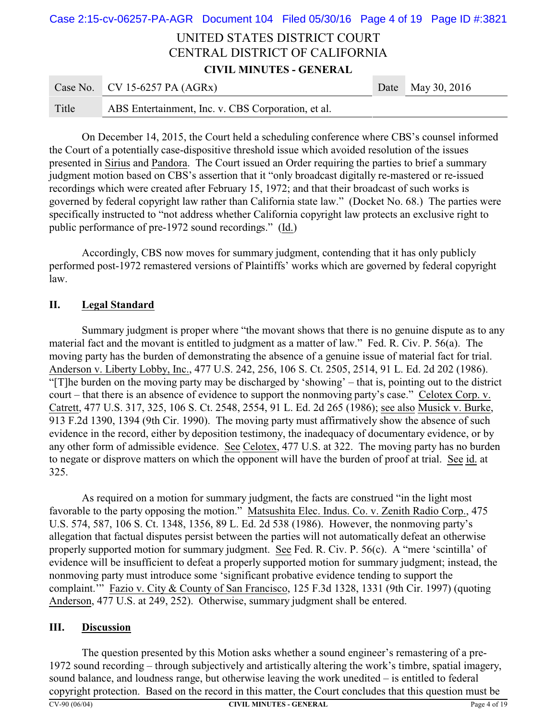# UNITED STATES DISTRICT COURT CENTRAL DISTRICT OF CALIFORNIA **CIVIL MINUTES - GENERAL** Case 2:15-cv-06257-PA-AGR Document 104 Filed 05/30/16 Page 4 of 19 Page ID #:3821

|       | Case No. CV 15-6257 PA $(AGRx)$                    | Date May 30, 2016 |
|-------|----------------------------------------------------|-------------------|
| Title | ABS Entertainment, Inc. v. CBS Corporation, et al. |                   |

On December 14, 2015, the Court held a scheduling conference where CBS's counsel informed the Court of a potentially case-dispositive threshold issue which avoided resolution of the issues presented in Sirius and Pandora. The Court issued an Order requiring the parties to brief a summary judgment motion based on CBS's assertion that it "only broadcast digitally re-mastered or re-issued recordings which were created after February 15, 1972; and that their broadcast of such works is governed by federal copyright law rather than California state law." (Docket No. 68.) The parties were specifically instructed to "not address whether California copyright law protects an exclusive right to public performance of pre-1972 sound recordings." (Id.)

Accordingly, CBS now moves for summary judgment, contending that it has only publicly performed post-1972 remastered versions of Plaintiffs' works which are governed by federal copyright law.

### **II. Legal Standard**

Summary judgment is proper where "the movant shows that there is no genuine dispute as to any material fact and the movant is entitled to judgment as a matter of law." Fed. R. Civ. P. 56(a). The moving party has the burden of demonstrating the absence of a genuine issue of material fact for trial. Anderson v. Liberty Lobby, Inc., 477 U.S. 242, 256, 106 S. Ct. 2505, 2514, 91 L. Ed. 2d 202 (1986). "[T]he burden on the moving party may be discharged by 'showing' – that is, pointing out to the district court – that there is an absence of evidence to support the nonmoving party's case." Celotex Corp. v. Catrett, 477 U.S. 317, 325, 106 S. Ct. 2548, 2554, 91 L. Ed. 2d 265 (1986); see also Musick v. Burke, 913 F.2d 1390, 1394 (9th Cir. 1990). The moving party must affirmatively show the absence of such evidence in the record, either by deposition testimony, the inadequacy of documentary evidence, or by any other form of admissible evidence. See Celotex, 477 U.S. at 322. The moving party has no burden to negate or disprove matters on which the opponent will have the burden of proof at trial. See id. at 325.

As required on a motion for summary judgment, the facts are construed "in the light most favorable to the party opposing the motion." Matsushita Elec. Indus. Co. v. Zenith Radio Corp., 475 U.S. 574, 587, 106 S. Ct. 1348, 1356, 89 L. Ed. 2d 538 (1986). However, the nonmoving party's allegation that factual disputes persist between the parties will not automatically defeat an otherwise properly supported motion for summary judgment. See Fed. R. Civ. P. 56(c). A "mere 'scintilla' of evidence will be insufficient to defeat a properly supported motion for summary judgment; instead, the nonmoving party must introduce some 'significant probative evidence tending to support the complaint.'" Fazio v. City & County of San Francisco, 125 F.3d 1328, 1331 (9th Cir. 1997) (quoting Anderson, 477 U.S. at 249, 252). Otherwise, summary judgment shall be entered.

### **III. Discussion**

The question presented by this Motion asks whether a sound engineer's remastering of a pre-1972 sound recording – through subjectively and artistically altering the work's timbre, spatial imagery, sound balance, and loudness range, but otherwise leaving the work unedited – is entitled to federal copyright protection. Based on the record in this matter, the Court concludes that this question must be **CV-90 (06/04) CIVIL MINUTES - GENERAL** Page 4 of 19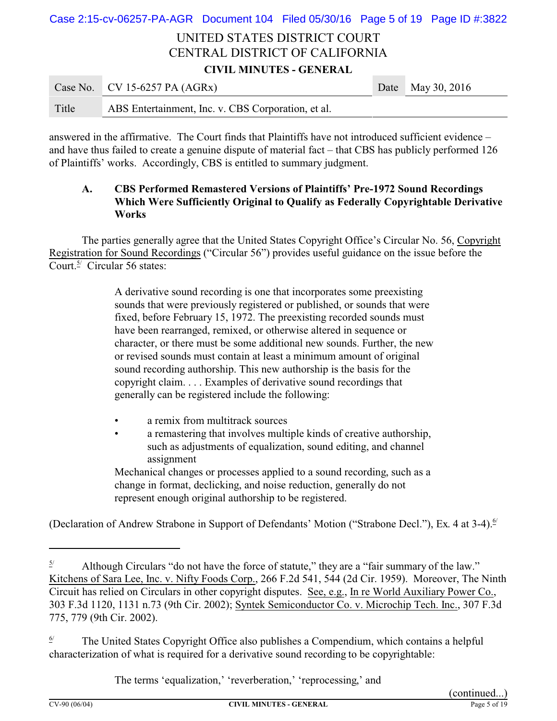# UNITED STATES DISTRICT COURT CENTRAL DISTRICT OF CALIFORNIA Case 2:15-cv-06257-PA-AGR Document 104 Filed 05/30/16 Page 5 of 19 Page ID #:3822

**CIVIL MINUTES - GENERAL**

|       | Case No. CV 15-6257 PA $(AGRx)$                    | Date May 30, 2016 |
|-------|----------------------------------------------------|-------------------|
| Title | ABS Entertainment, Inc. v. CBS Corporation, et al. |                   |

answered in the affirmative. The Court finds that Plaintiffs have not introduced sufficient evidence – and have thus failed to create a genuine dispute of material fact – that CBS has publicly performed 126 of Plaintiffs' works. Accordingly, CBS is entitled to summary judgment.

## **A. CBS Performed Remastered Versions of Plaintiffs' Pre-1972 Sound Recordings Which Were Sufficiently Original to Qualify as Federally Copyrightable Derivative Works**

The parties generally agree that the United States Copyright Office's Circular No. 56, Copyright Registration for Sound Recordings ("Circular 56") provides useful guidance on the issue before the Court.<sup>5/</sup> Circular 56 states:

> A derivative sound recording is one that incorporates some preexisting sounds that were previously registered or published, or sounds that were fixed, before February 15, 1972. The preexisting recorded sounds must have been rearranged, remixed, or otherwise altered in sequence or character, or there must be some additional new sounds. Further, the new or revised sounds must contain at least a minimum amount of original sound recording authorship. This new authorship is the basis for the copyright claim. . . . Examples of derivative sound recordings that generally can be registered include the following:

- a remix from multitrack sources
- a remastering that involves multiple kinds of creative authorship, such as adjustments of equalization, sound editing, and channel assignment

Mechanical changes or processes applied to a sound recording, such as a change in format, declicking, and noise reduction, generally do not represent enough original authorship to be registered.

(Declaration of Andrew Strabone in Support of Defendants' Motion ("Strabone Decl."), Ex. 4 at 3-4).<sup>6/</sup>

The terms 'equalization,' 'reverberation,' 'reprocessing,' and

 $\frac{5}{10}$  Although Circulars "do not have the force of statute," they are a "fair summary of the law." Kitchens of Sara Lee, Inc. v. Nifty Foods Corp., 266 F.2d 541, 544 (2d Cir. 1959). Moreover, The Ninth Circuit has relied on Circulars in other copyright disputes. See, e.g., In re World Auxiliary Power Co., 303 F.3d 1120, 1131 n.73 (9th Cir. 2002); Syntek Semiconductor Co. v. Microchip Tech. Inc., 307 F.3d 775, 779 (9th Cir. 2002).

 $\frac{6}{1}$  The United States Copyright Office also publishes a Compendium, which contains a helpful characterization of what is required for a derivative sound recording to be copyrightable: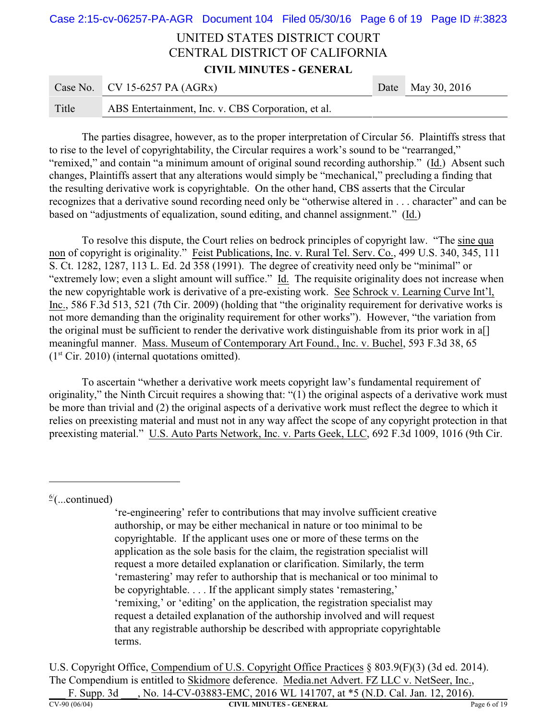# UNITED STATES DISTRICT COURT CENTRAL DISTRICT OF CALIFORNIA **CIVIL MINUTES - GENERAL**  $C_{\text{QCA}}$  N<sub>o.</sub>  $C_{\text{V1}}$  15-6257 PA (ACP<sub>x</sub>) Date Date May 30, 2016 Case 2:15-cv-06257-PA-AGR Document 104 Filed 05/30/16 Page 6 of 19 Page ID #:3823

|       | Case NO. CV 19-029/ $FA$ (AONA)                    | Dale May $30, 2010$ |
|-------|----------------------------------------------------|---------------------|
| Title | ABS Entertainment, Inc. v. CBS Corporation, et al. |                     |

The parties disagree, however, as to the proper interpretation of Circular 56. Plaintiffs stress that to rise to the level of copyrightability, the Circular requires a work's sound to be "rearranged," "remixed," and contain "a minimum amount of original sound recording authorship." (Id.) Absent such changes, Plaintiffs assert that any alterations would simply be "mechanical," precluding a finding that the resulting derivative work is copyrightable. On the other hand, CBS asserts that the Circular recognizes that a derivative sound recording need only be "otherwise altered in . . . character" and can be based on "adjustments of equalization, sound editing, and channel assignment." (Id.)

To resolve this dispute, the Court relies on bedrock principles of copyright law. "The sine qua non of copyright is originality." Feist Publications, Inc. v. Rural Tel. Serv. Co., 499 U.S. 340, 345, 111 S. Ct. 1282, 1287, 113 L. Ed. 2d 358 (1991). The degree of creativity need only be "minimal" or "extremely low; even a slight amount will suffice." Id. The requisite originality does not increase when the new copyrightable work is derivative of a pre-existing work. See Schrock v. Learning Curve Int'l, Inc., 586 F.3d 513, 521 (7th Cir. 2009) (holding that "the originality requirement for derivative works is not more demanding than the originality requirement for other works"). However, "the variation from the original must be sufficient to render the derivative work distinguishable from its prior work in a[] meaningful manner. Mass. Museum of Contemporary Art Found., Inc. v. Buchel, 593 F.3d 38, 65  $(1<sup>st</sup> Cir. 2010)$  (internal quotations omitted).

To ascertain "whether a derivative work meets copyright law's fundamental requirement of originality," the Ninth Circuit requires a showing that: "(1) the original aspects of a derivative work must be more than trivial and (2) the original aspects of a derivative work must reflect the degree to which it relies on preexisting material and must not in any way affect the scope of any copyright protection in that preexisting material." U.S. Auto Parts Network, Inc. v. Parts Geek, LLC, 692 F.3d 1009, 1016 (9th Cir.

 $\frac{6}{2}$ (...continued)

're-engineering' refer to contributions that may involve sufficient creative authorship, or may be either mechanical in nature or too minimal to be copyrightable. If the applicant uses one or more of these terms on the application as the sole basis for the claim, the registration specialist will request a more detailed explanation or clarification. Similarly, the term 'remastering' may refer to authorship that is mechanical or too minimal to be copyrightable. . . . If the applicant simply states 'remastering,' 'remixing,' or 'editing' on the application, the registration specialist may request a detailed explanation of the authorship involved and will request that any registrable authorship be described with appropriate copyrightable terms.

U.S. Copyright Office, Compendium of U.S. Copyright Office Practices § 803.9(F)(3) (3d ed. 2014). The Compendium is entitled to Skidmore deference. Media.net Advert. FZ LLC v. NetSeer, Inc., F. Supp. 3d \_\_\_, No. 14-CV-03883-EMC, 2016 WL 141707, at \*5 (N.D. Cal. Jan. 12, 2016).

**CV-90 (06/04) CIVIL MINUTES - GENERAL** Page 6 of 19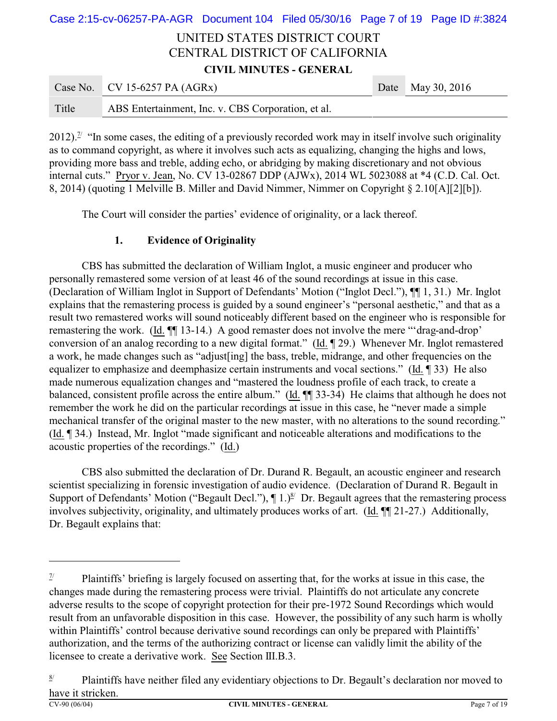# UNITED STATES DISTRICT COURT CENTRAL DISTRICT OF CALIFORNIA **CIVIL MINUTES - GENERAL** Case No. CV 15-6257 PA (AGRx) Date May 30, 2016 Case 2:15-cv-06257-PA-AGR Document 104 Filed 05/30/16 Page 7 of 19 Page ID #:3824

2012).<sup> $\frac{\pi}{2}$ </sup> "In some cases, the editing of a previously recorded work may in itself involve such originality as to command copyright, as where it involves such acts as equalizing, changing the highs and lows, providing more bass and treble, adding echo, or abridging by making discretionary and not obvious internal cuts." Pryor v. Jean, No. CV 13-02867 DDP (AJWx), 2014 WL 5023088 at \*4 (C.D. Cal. Oct. 8, 2014) (quoting 1 Melville B. Miller and David Nimmer, Nimmer on Copyright § 2.10[A][2][b]).

The Court will consider the parties' evidence of originality, or a lack thereof.

## **1. Evidence of Originality**

Title ABS Entertainment, Inc. v. CBS Corporation, et al.

CBS has submitted the declaration of William Inglot, a music engineer and producer who personally remastered some version of at least 46 of the sound recordings at issue in this case. (Declaration of William Inglot in Support of Defendants' Motion ("Inglot Decl."), ¶¶ 1, 31.) Mr. Inglot explains that the remastering process is guided by a sound engineer's "personal aesthetic," and that as a result two remastered works will sound noticeably different based on the engineer who is responsible for remastering the work. (Id. ¶¶ 13-14.) A good remaster does not involve the mere "'drag-and-drop' conversion of an analog recording to a new digital format." (Id. ¶ 29.) Whenever Mr. Inglot remastered a work, he made changes such as "adjust[ing] the bass, treble, midrange, and other frequencies on the equalizer to emphasize and deemphasize certain instruments and vocal sections." (Id. ¶ 33) He also made numerous equalization changes and "mastered the loudness profile of each track, to create a balanced, consistent profile across the entire album." (Id. ¶¶ 33-34) He claims that although he does not remember the work he did on the particular recordings at issue in this case, he "never made a simple mechanical transfer of the original master to the new master, with no alterations to the sound recording." (Id. ¶ 34.) Instead, Mr. Inglot "made significant and noticeable alterations and modifications to the acoustic properties of the recordings." (Id.)

CBS also submitted the declaration of Dr. Durand R. Begault, an acoustic engineer and research scientist specializing in forensic investigation of audio evidence. (Declaration of Durand R. Begault in Support of Defendants' Motion ("Begault Decl."),  $\P 1$ .)<sup>8</sup> Dr. Begault agrees that the remastering process involves subjectivity, originality, and ultimately produces works of art. (Id. ¶¶ 21-27.) Additionally, Dr. Begault explains that:

 $\frac{7}{4}$  Plaintiffs' briefing is largely focused on asserting that, for the works at issue in this case, the changes made during the remastering process were trivial. Plaintiffs do not articulate any concrete adverse results to the scope of copyright protection for their pre-1972 Sound Recordings which would result from an unfavorable disposition in this case. However, the possibility of any such harm is wholly within Plaintiffs' control because derivative sound recordings can only be prepared with Plaintiffs' authorization, and the terms of the authorizing contract or license can validly limit the ability of the licensee to create a derivative work. See Section III.B.3.

 $\frac{8}{1}$  Plaintiffs have neither filed any evidentiary objections to Dr. Begault's declaration nor moved to have it stricken.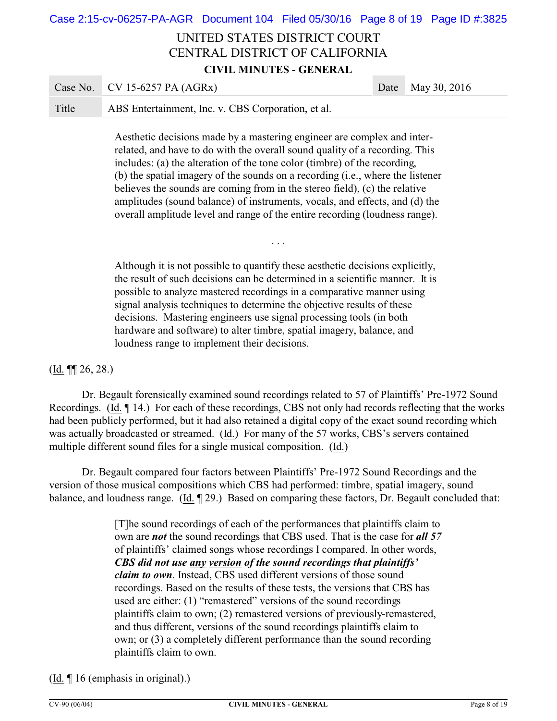# Case 2:15-cv-06257-PA-AGR Document 104 Filed 05/30/16 Page 8 of 19 Page ID #:3825

# UNITED STATES DISTRICT COURT CENTRAL DISTRICT OF CALIFORNIA **CIVIL MINUTES - GENERAL**

|       | Case No. CV 15-6257 PA $(AGRx)$                    | Date May 30, 2016 |
|-------|----------------------------------------------------|-------------------|
| Title | ABS Entertainment, Inc. v. CBS Corporation, et al. |                   |

Aesthetic decisions made by a mastering engineer are complex and interrelated, and have to do with the overall sound quality of a recording. This includes: (a) the alteration of the tone color (timbre) of the recording, (b) the spatial imagery of the sounds on a recording (i.e., where the listener believes the sounds are coming from in the stereo field), (c) the relative amplitudes (sound balance) of instruments, vocals, and effects, and (d) the overall amplitude level and range of the entire recording (loudness range).

. . .

Although it is not possible to quantify these aesthetic decisions explicitly, the result of such decisions can be determined in a scientific manner. It is possible to analyze mastered recordings in a comparative manner using signal analysis techniques to determine the objective results of these decisions. Mastering engineers use signal processing tools (in both hardware and software) to alter timbre, spatial imagery, balance, and loudness range to implement their decisions.

### $(\underline{Id.} \P\P 26, 28.)$

Dr. Begault forensically examined sound recordings related to 57 of Plaintiffs' Pre-1972 Sound Recordings. (Id. ¶ 14.) For each of these recordings, CBS not only had records reflecting that the works had been publicly performed, but it had also retained a digital copy of the exact sound recording which was actually broadcasted or streamed. (Id.) For many of the 57 works, CBS's servers contained multiple different sound files for a single musical composition. (Id.)

Dr. Begault compared four factors between Plaintiffs' Pre-1972 Sound Recordings and the version of those musical compositions which CBS had performed: timbre, spatial imagery, sound balance, and loudness range. (Id. ¶ 29.) Based on comparing these factors, Dr. Begault concluded that:

> [T]he sound recordings of each of the performances that plaintiffs claim to own are *not* the sound recordings that CBS used. That is the case for *all 57* of plaintiffs' claimed songs whose recordings I compared. In other words, *CBS did not use any version of the sound recordings that plaintiffs' claim to own*. Instead, CBS used different versions of those sound recordings. Based on the results of these tests, the versions that CBS has used are either: (1) "remastered" versions of the sound recordings plaintiffs claim to own; (2) remastered versions of previously-remastered, and thus different, versions of the sound recordings plaintiffs claim to own; or (3) a completely different performance than the sound recording plaintiffs claim to own.

### (Id. ¶ 16 (emphasis in original).)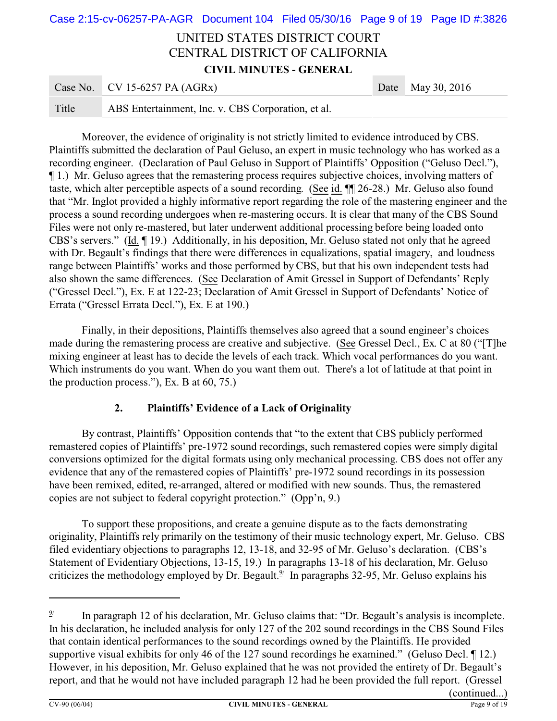# UNITED STATES DISTRICT COURT CENTRAL DISTRICT OF CALIFORNIA **CIVIL MINUTES - GENERAL** Case No. CV 15-6257 PA (AGRx) Date May 30, 2016 Case 2:15-cv-06257-PA-AGR Document 104 Filed 05/30/16 Page 9 of 19 Page ID #:3826

|  | Title | ABS Entertainment, Inc. v. CBS Corporation, et al. |
|--|-------|----------------------------------------------------|
|--|-------|----------------------------------------------------|

Moreover, the evidence of originality is not strictly limited to evidence introduced by CBS. Plaintiffs submitted the declaration of Paul Geluso, an expert in music technology who has worked as a recording engineer. (Declaration of Paul Geluso in Support of Plaintiffs' Opposition ("Geluso Decl."), ¶ 1.) Mr. Geluso agrees that the remastering process requires subjective choices, involving matters of taste, which alter perceptible aspects of a sound recording. (See id. ¶¶ 26-28.) Mr. Geluso also found that "Mr. Inglot provided a highly informative report regarding the role of the mastering engineer and the process a sound recording undergoes when re-mastering occurs. It is clear that many of the CBS Sound Files were not only re-mastered, but later underwent additional processing before being loaded onto CBS's servers." (Id. ¶ 19.) Additionally, in his deposition, Mr. Geluso stated not only that he agreed with Dr. Begault's findings that there were differences in equalizations, spatial imagery, and loudness range between Plaintiffs' works and those performed by CBS, but that his own independent tests had also shown the same differences. (See Declaration of Amit Gressel in Support of Defendants' Reply ("Gressel Decl."), Ex. E at 122-23; Declaration of Amit Gressel in Support of Defendants' Notice of Errata ("Gressel Errata Decl."), Ex. E at 190.)

Finally, in their depositions, Plaintiffs themselves also agreed that a sound engineer's choices made during the remastering process are creative and subjective. (See Gressel Decl., Ex. C at 80 ("[T]he mixing engineer at least has to decide the levels of each track. Which vocal performances do you want. Which instruments do you want. When do you want them out. There's a lot of latitude at that point in the production process."), Ex. B at 60, 75.)

### **2. Plaintiffs' Evidence of a Lack of Originality**

By contrast, Plaintiffs' Opposition contends that "to the extent that CBS publicly performed remastered copies of Plaintiffs' pre-1972 sound recordings, such remastered copies were simply digital conversions optimized for the digital formats using only mechanical processing. CBS does not offer any evidence that any of the remastered copies of Plaintiffs' pre-1972 sound recordings in its possession have been remixed, edited, re-arranged, altered or modified with new sounds. Thus, the remastered copies are not subject to federal copyright protection." (Opp'n, 9.)

To support these propositions, and create a genuine dispute as to the facts demonstrating originality, Plaintiffs rely primarily on the testimony of their music technology expert, Mr. Geluso. CBS filed evidentiary objections to paragraphs 12, 13-18, and 32-95 of Mr. Geluso's declaration. (CBS's Statement of Evidentiary Objections, 13-15, 19.) In paragraphs 13-18 of his declaration, Mr. Geluso criticizes the methodology employed by Dr. Begault. $\frac{9}{2}$  In paragraphs 32-95, Mr. Geluso explains his

<sup>9/</sup> In paragraph 12 of his declaration, Mr. Geluso claims that: "Dr. Begault's analysis is incomplete. In his declaration, he included analysis for only 127 of the 202 sound recordings in the CBS Sound Files that contain identical performances to the sound recordings owned by the Plaintiffs. He provided supportive visual exhibits for only 46 of the 127 sound recordings he examined." (Geluso Decl. 112.) However, in his deposition, Mr. Geluso explained that he was not provided the entirety of Dr. Begault's report, and that he would not have included paragraph 12 had he been provided the full report. (Gressel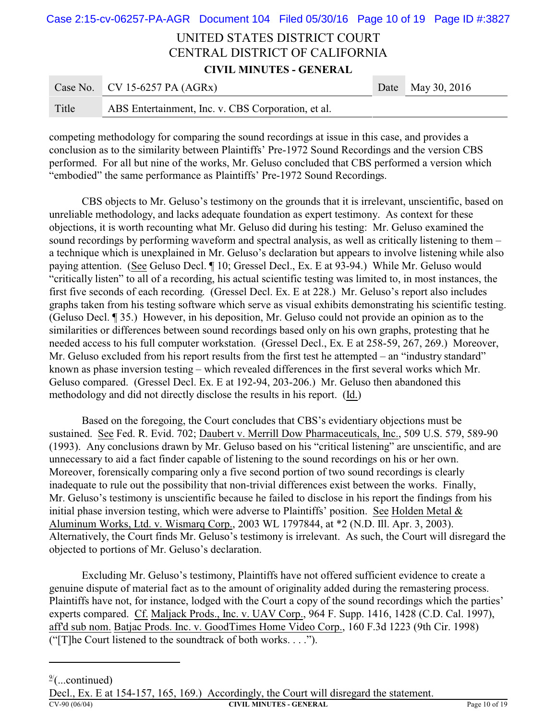# UNITED STATES DISTRICT COURT CENTRAL DISTRICT OF CALIFORNIA **CIVIL MINUTES - GENERAL** Case No. CV 15-6257 PA (AGRx) Date May 30, 2016 Case 2:15-cv-06257-PA-AGR Document 104 Filed 05/30/16 Page 10 of 19 Page ID #:3827

| Title | ABS Entertainment, Inc. v. CBS Corporation, et al. |  |
|-------|----------------------------------------------------|--|
|       |                                                    |  |

competing methodology for comparing the sound recordings at issue in this case, and provides a conclusion as to the similarity between Plaintiffs' Pre-1972 Sound Recordings and the version CBS performed. For all but nine of the works, Mr. Geluso concluded that CBS performed a version which "embodied" the same performance as Plaintiffs' Pre-1972 Sound Recordings.

CBS objects to Mr. Geluso's testimony on the grounds that it is irrelevant, unscientific, based on unreliable methodology, and lacks adequate foundation as expert testimony. As context for these objections, it is worth recounting what Mr. Geluso did during his testing: Mr. Geluso examined the sound recordings by performing waveform and spectral analysis, as well as critically listening to them – a technique which is unexplained in Mr. Geluso's declaration but appears to involve listening while also paying attention. (See Geluso Decl. ¶ 10; Gressel Decl., Ex. E at 93-94.) While Mr. Geluso would "critically listen" to all of a recording, his actual scientific testing was limited to, in most instances, the first five seconds of each recording. (Gressel Decl. Ex. E at 228.) Mr. Geluso's report also includes graphs taken from his testing software which serve as visual exhibits demonstrating his scientific testing. (Geluso Decl. ¶ 35.) However, in his deposition, Mr. Geluso could not provide an opinion as to the similarities or differences between sound recordings based only on his own graphs, protesting that he needed access to his full computer workstation. (Gressel Decl., Ex. E at 258-59, 267, 269.) Moreover, Mr. Geluso excluded from his report results from the first test he attempted – an "industry standard" known as phase inversion testing – which revealed differences in the first several works which Mr. Geluso compared. (Gressel Decl. Ex. E at 192-94, 203-206.) Mr. Geluso then abandoned this methodology and did not directly disclose the results in his report. (Id.)

Based on the foregoing, the Court concludes that CBS's evidentiary objections must be sustained. See Fed. R. Evid. 702; Daubert v. Merrill Dow Pharmaceuticals, Inc., 509 U.S. 579, 589-90 (1993). Any conclusions drawn by Mr. Geluso based on his "critical listening" are unscientific, and are unnecessary to aid a fact finder capable of listening to the sound recordings on his or her own. Moreover, forensically comparing only a five second portion of two sound recordings is clearly inadequate to rule out the possibility that non-trivial differences exist between the works. Finally, Mr. Geluso's testimony is unscientific because he failed to disclose in his report the findings from his initial phase inversion testing, which were adverse to Plaintiffs' position. See Holden Metal & Aluminum Works, Ltd. v. Wismarq Corp., 2003 WL 1797844, at \*2 (N.D. Ill. Apr. 3, 2003). Alternatively, the Court finds Mr. Geluso's testimony is irrelevant. As such, the Court will disregard the objected to portions of Mr. Geluso's declaration.

Excluding Mr. Geluso's testimony, Plaintiffs have not offered sufficient evidence to create a genuine dispute of material fact as to the amount of originality added during the remastering process. Plaintiffs have not, for instance, lodged with the Court a copy of the sound recordings which the parties' experts compared. Cf. Maljack Prods., Inc. v. UAV Corp., 964 F. Supp. 1416, 1428 (C.D. Cal. 1997), aff'd sub nom. Batjac Prods. Inc. v. GoodTimes Home Video Corp., 160 F.3d 1223 (9th Cir. 1998) ("[T]he Court listened to the soundtrack of both works. . . .").

 $\frac{9}{2}$ (...continued)

Decl., Ex. E at 154-157, 165, 169.) Accordingly, the Court will disregard the statement.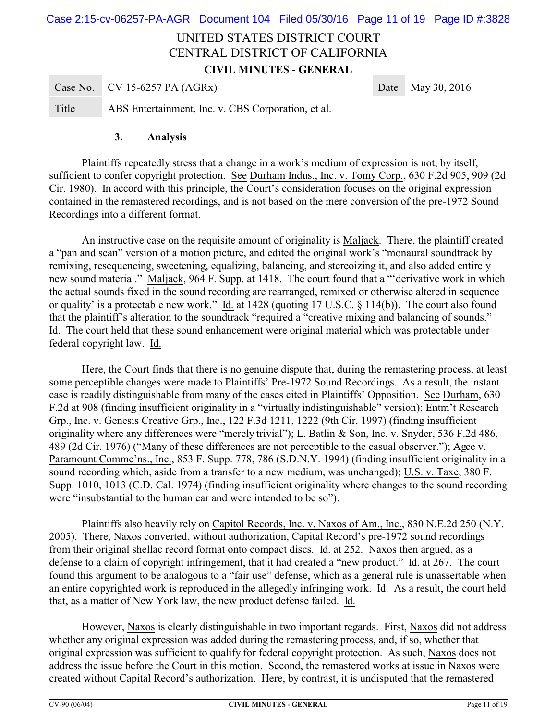# UNITED STATES DISTRICT COURT CENTRAL DISTRICT OF CALIFORNIA **CIVIL MINUTES - GENERAL** Case 2:15-cv-06257-PA-AGR Document 104 Filed 05/30/16 Page 11 of 19 Page ID #:3828

|       | Case No. CV 15-6257 PA $(AGRx)$                    | Date May 30, 2016 |
|-------|----------------------------------------------------|-------------------|
| Title | ABS Entertainment, Inc. v. CBS Corporation, et al. |                   |

#### **3. Analysis**

Plaintiffs repeatedly stress that a change in a work's medium of expression is not, by itself, sufficient to confer copyright protection. See Durham Indus., Inc. v. Tomy Corp., 630 F.2d 905, 909 (2d Cir. 1980). In accord with this principle, the Court's consideration focuses on the original expression contained in the remastered recordings, and is not based on the mere conversion of the pre-1972 Sound Recordings into a different format.

An instructive case on the requisite amount of originality is Maljack. There, the plaintiff created a "pan and scan" version of a motion picture, and edited the original work's "monaural soundtrack by remixing, resequencing, sweetening, equalizing, balancing, and stereoizing it, and also added entirely new sound material." Maljack, 964 F. Supp. at 1418. The court found that a "'derivative work in which the actual sounds fixed in the sound recording are rearranged, remixed or otherwise altered in sequence or quality' is a protectable new work." Id. at 1428 (quoting 17 U.S.C. § 114(b)). The court also found that the plaintiff's alteration to the soundtrack "required a "creative mixing and balancing of sounds." Id. The court held that these sound enhancement were original material which was protectable under federal copyright law. Id.

Here, the Court finds that there is no genuine dispute that, during the remastering process, at least some perceptible changes were made to Plaintiffs' Pre-1972 Sound Recordings. As a result, the instant case is readily distinguishable from many of the cases cited in Plaintiffs' Opposition. See Durham, 630 F.2d at 908 (finding insufficient originality in a "virtually indistinguishable" version); Entm't Research Grp., Inc. v. Genesis Creative Grp., Inc., 122 F.3d 1211, 1222 (9th Cir. 1997) (finding insufficient originality where any differences were "merely trivial"); L. Batlin & Son, Inc. v. Snyder, 536 F.2d 486, 489 (2d Cir. 1976) ("Many of these differences are not perceptible to the casual observer."); Agee v. Paramount Commc'ns., Inc., 853 F. Supp. 778, 786 (S.D.N.Y. 1994) (finding insufficient originality in a sound recording which, aside from a transfer to a new medium, was unchanged); U.S. v. Taxe, 380 F. Supp. 1010, 1013 (C.D. Cal. 1974) (finding insufficient originality where changes to the sound recording were "insubstantial to the human ear and were intended to be so").

Plaintiffs also heavily rely on Capitol Records, Inc. v. Naxos of Am., Inc., 830 N.E.2d 250 (N.Y. 2005). There, Naxos converted, without authorization, Capital Record's pre-1972 sound recordings from their original shellac record format onto compact discs. Id. at 252. Naxos then argued, as a defense to a claim of copyright infringement, that it had created a "new product." Id. at 267. The court found this argument to be analogous to a "fair use" defense, which as a general rule is unassertable when an entire copyrighted work is reproduced in the allegedly infringing work. Id. As a result, the court held that, as a matter of New York law, the new product defense failed. Id.

However, Naxos is clearly distinguishable in two important regards. First, Naxos did not address whether any original expression was added during the remastering process, and, if so, whether that original expression was sufficient to qualify for federal copyright protection. As such, Naxos does not address the issue before the Court in this motion. Second, the remastered works at issue in Naxos were created without Capital Record's authorization. Here, by contrast, it is undisputed that the remastered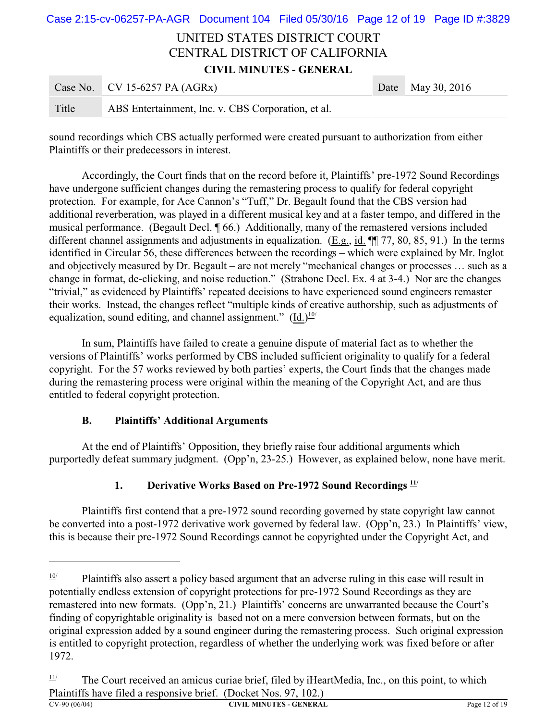# UNITED STATES DISTRICT COURT CENTRAL DISTRICT OF CALIFORNIA **CIVIL MINUTES - GENERAL** Case No. CV 15-6257 PA (AGRx) Date May 30, 2016 Case 2:15-cv-06257-PA-AGR Document 104 Filed 05/30/16 Page 12 of 19 Page ID #:3829

| Title | ABS Entertainment, Inc. v. CBS Corporation, et al. |  |  |
|-------|----------------------------------------------------|--|--|

sound recordings which CBS actually performed were created pursuant to authorization from either Plaintiffs or their predecessors in interest.

Accordingly, the Court finds that on the record before it, Plaintiffs' pre-1972 Sound Recordings have undergone sufficient changes during the remastering process to qualify for federal copyright protection. For example, for Ace Cannon's "Tuff," Dr. Begault found that the CBS version had additional reverberation, was played in a different musical key and at a faster tempo, and differed in the musical performance. (Begault Decl. ¶ 66.) Additionally, many of the remastered versions included different channel assignments and adjustments in equalization. (E.g., id.  $\P$  77, 80, 85, 91.) In the terms identified in Circular 56, these differences between the recordings – which were explained by Mr. Inglot and objectively measured by Dr. Begault – are not merely "mechanical changes or processes … such as a change in format, de-clicking, and noise reduction." (Strabone Decl. Ex. 4 at 3-4.) Nor are the changes "trivial," as evidenced by Plaintiffs' repeated decisions to have experienced sound engineers remaster their works. Instead, the changes reflect "multiple kinds of creative authorship, such as adjustments of equalization, sound editing, and channel assignment."  $(Id.)<sup>10/</sup>$ 

In sum, Plaintiffs have failed to create a genuine dispute of material fact as to whether the versions of Plaintiffs' works performed by CBS included sufficient originality to qualify for a federal copyright. For the 57 works reviewed by both parties' experts, the Court finds that the changes made during the remastering process were original within the meaning of the Copyright Act, and are thus entitled to federal copyright protection.

### **B. Plaintiffs' Additional Arguments**

At the end of Plaintiffs' Opposition, they briefly raise four additional arguments which purportedly defeat summary judgment. (Opp'n, 23-25.) However, as explained below, none have merit.

# **1. Derivative Works Based on Pre-1972 Sound Recordings 11/**

Plaintiffs first contend that a pre-1972 sound recording governed by state copyright law cannot be converted into a post-1972 derivative work governed by federal law. (Opp'n, 23.) In Plaintiffs' view, this is because their pre-1972 Sound Recordings cannot be copyrighted under the Copyright Act, and

 $\frac{10}{10}$  Plaintiffs also assert a policy based argument that an adverse ruling in this case will result in potentially endless extension of copyright protections for pre-1972 Sound Recordings as they are remastered into new formats. (Opp'n, 21.) Plaintiffs' concerns are unwarranted because the Court's finding of copyrightable originality is based not on a mere conversion between formats, but on the original expression added by a sound engineer during the remastering process. Such original expression is entitled to copyright protection, regardless of whether the underlying work was fixed before or after 1972.

 $\frac{11}{1}$  The Court received an amicus curiae brief, filed by iHeartMedia, Inc., on this point, to which Plaintiffs have filed a responsive brief. (Docket Nos. 97, 102.)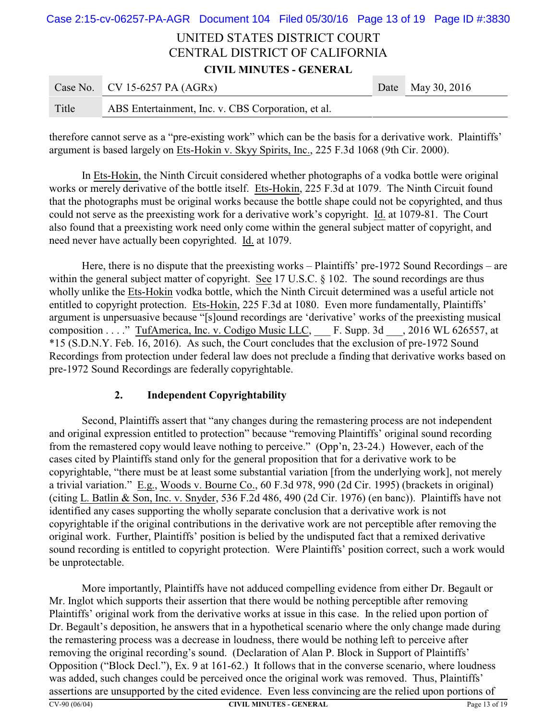# UNITED STATES DISTRICT COURT CENTRAL DISTRICT OF CALIFORNIA **CIVIL MINUTES - GENERAL** Case 2:15-cv-06257-PA-AGR Document 104 Filed 05/30/16 Page 13 of 19 Page ID #:3830

|       | Case No. CV 15-6257 PA $(AGRx)$                    | Date May 30, 2016 |
|-------|----------------------------------------------------|-------------------|
| Title | ABS Entertainment, Inc. v. CBS Corporation, et al. |                   |

therefore cannot serve as a "pre-existing work" which can be the basis for a derivative work. Plaintiffs' argument is based largely on Ets-Hokin v. Skyy Spirits, Inc., 225 F.3d 1068 (9th Cir. 2000).

In Ets-Hokin, the Ninth Circuit considered whether photographs of a vodka bottle were original works or merely derivative of the bottle itself. Ets-Hokin, 225 F.3d at 1079. The Ninth Circuit found that the photographs must be original works because the bottle shape could not be copyrighted, and thus could not serve as the preexisting work for a derivative work's copyright. Id. at 1079-81. The Court also found that a preexisting work need only come within the general subject matter of copyright, and need never have actually been copyrighted. Id. at 1079.

Here, there is no dispute that the preexisting works – Plaintiffs' pre-1972 Sound Recordings – are within the general subject matter of copyright. See 17 U.S.C. § 102. The sound recordings are thus wholly unlike the Ets-Hokin vodka bottle, which the Ninth Circuit determined was a useful article not entitled to copyright protection. Ets-Hokin, 225 F.3d at 1080. Even more fundamentally, Plaintiffs' argument is unpersuasive because "[s]ound recordings are 'derivative' works of the preexisting musical composition . . . . " TufAmerica, Inc. v. Codigo Music LLC, F. Supp. 3d , 2016 WL 626557, at \*15 (S.D.N.Y. Feb. 16, 2016). As such, the Court concludes that the exclusion of pre-1972 Sound Recordings from protection under federal law does not preclude a finding that derivative works based on pre-1972 Sound Recordings are federally copyrightable.

## **2. Independent Copyrightability**

Second, Plaintiffs assert that "any changes during the remastering process are not independent and original expression entitled to protection" because "removing Plaintiffs' original sound recording from the remastered copy would leave nothing to perceive." (Opp'n, 23-24.) However, each of the cases cited by Plaintiffs stand only for the general proposition that for a derivative work to be copyrightable, "there must be at least some substantial variation [from the underlying work], not merely a trivial variation." E.g., Woods v. Bourne Co., 60 F.3d 978, 990 (2d Cir. 1995) (brackets in original) (citing L. Batlin & Son, Inc. v. Snyder, 536 F.2d 486, 490 (2d Cir. 1976) (en banc)). Plaintiffs have not identified any cases supporting the wholly separate conclusion that a derivative work is not copyrightable if the original contributions in the derivative work are not perceptible after removing the original work. Further, Plaintiffs' position is belied by the undisputed fact that a remixed derivative sound recording is entitled to copyright protection. Were Plaintiffs' position correct, such a work would be unprotectable.

More importantly, Plaintiffs have not adduced compelling evidence from either Dr. Begault or Mr. Inglot which supports their assertion that there would be nothing perceptible after removing Plaintiffs' original work from the derivative works at issue in this case. In the relied upon portion of Dr. Begault's deposition, he answers that in a hypothetical scenario where the only change made during the remastering process was a decrease in loudness, there would be nothing left to perceive after removing the original recording's sound. (Declaration of Alan P. Block in Support of Plaintiffs' Opposition ("Block Decl."), Ex. 9 at 161-62.) It follows that in the converse scenario, where loudness was added, such changes could be perceived once the original work was removed. Thus, Plaintiffs' assertions are unsupported by the cited evidence. Even less convincing are the relied upon portions of CV-90 (06/04) **CIVIL MINUTES - GENERAL** Page 13 of 19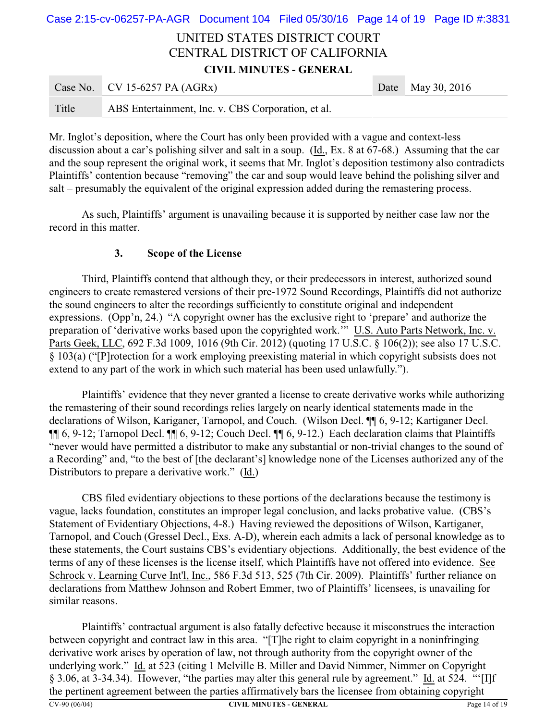# UNITED STATES DISTRICT COURT CENTRAL DISTRICT OF CALIFORNIA **CIVIL MINUTES - GENERAL** Case No. CV 15-6257 PA (AGRx) Date May 30, 2016 Case 2:15-cv-06257-PA-AGR Document 104 Filed 05/30/16 Page 14 of 19 Page ID #:3831

| Title | ABS Entertainment, Inc. v. CBS Corporation, et al. |  |
|-------|----------------------------------------------------|--|
|       |                                                    |  |

Mr. Inglot's deposition, where the Court has only been provided with a vague and context-less discussion about a car's polishing silver and salt in a soup. (Id., Ex. 8 at 67-68.) Assuming that the car and the soup represent the original work, it seems that Mr. Inglot's deposition testimony also contradicts Plaintiffs' contention because "removing" the car and soup would leave behind the polishing silver and salt – presumably the equivalent of the original expression added during the remastering process.

As such, Plaintiffs' argument is unavailing because it is supported by neither case law nor the record in this matter.

### **3. Scope of the License**

Third, Plaintiffs contend that although they, or their predecessors in interest, authorized sound engineers to create remastered versions of their pre-1972 Sound Recordings, Plaintiffs did not authorize the sound engineers to alter the recordings sufficiently to constitute original and independent expressions. (Opp'n, 24.) "A copyright owner has the exclusive right to 'prepare' and authorize the preparation of 'derivative works based upon the copyrighted work.'" U.S. Auto Parts Network, Inc. v. Parts Geek, LLC, 692 F.3d 1009, 1016 (9th Cir. 2012) (quoting 17 U.S.C. § 106(2)); see also 17 U.S.C. § 103(a) ("[P]rotection for a work employing preexisting material in which copyright subsists does not extend to any part of the work in which such material has been used unlawfully.").

Plaintiffs' evidence that they never granted a license to create derivative works while authorizing the remastering of their sound recordings relies largely on nearly identical statements made in the declarations of Wilson, Kariganer, Tarnopol, and Couch. (Wilson Decl. ¶¶ 6, 9-12; Kartiganer Decl. ¶¶ 6, 9-12; Tarnopol Decl. ¶¶ 6, 9-12; Couch Decl. ¶¶ 6, 9-12.) Each declaration claims that Plaintiffs "never would have permitted a distributor to make any substantial or non-trivial changes to the sound of a Recording" and, "to the best of [the declarant's] knowledge none of the Licenses authorized any of the Distributors to prepare a derivative work." (Id.)

CBS filed evidentiary objections to these portions of the declarations because the testimony is vague, lacks foundation, constitutes an improper legal conclusion, and lacks probative value. (CBS's Statement of Evidentiary Objections, 4-8.) Having reviewed the depositions of Wilson, Kartiganer, Tarnopol, and Couch (Gressel Decl., Exs. A-D), wherein each admits a lack of personal knowledge as to these statements, the Court sustains CBS's evidentiary objections. Additionally, the best evidence of the terms of any of these licenses is the license itself, which Plaintiffs have not offered into evidence. See Schrock v. Learning Curve Int'l, Inc., 586 F.3d 513, 525 (7th Cir. 2009). Plaintiffs' further reliance on declarations from Matthew Johnson and Robert Emmer, two of Plaintiffs' licensees, is unavailing for similar reasons.

Plaintiffs' contractual argument is also fatally defective because it misconstrues the interaction between copyright and contract law in this area. "[T]he right to claim copyright in a noninfringing derivative work arises by operation of law, not through authority from the copyright owner of the underlying work." Id. at 523 (citing 1 Melville B. Miller and David Nimmer, Nimmer on Copyright § 3.06, at 3-34.34). However, "the parties may alter this general rule by agreement." Id. at 524. "'[I]f the pertinent agreement between the parties affirmatively bars the licensee from obtaining copyright CV-90 (06/04) **CIVIL MINUTES - GENERAL** Page 14 of 19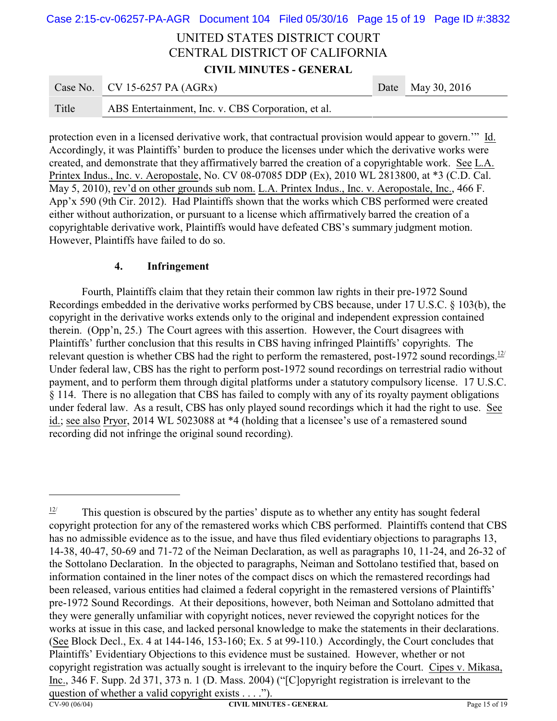|                                |                                 |  |  |      | Case 2:15-cv-06257-PA-AGR Document 104 Filed 05/30/16 Page 15 of 19 Page ID #:3832 |
|--------------------------------|---------------------------------|--|--|------|------------------------------------------------------------------------------------|
| UNITED STATES DISTRICT COURT   |                                 |  |  |      |                                                                                    |
| CENTRAL DISTRICT OF CALIFORNIA |                                 |  |  |      |                                                                                    |
| <b>CIVIL MINUTES - GENERAL</b> |                                 |  |  |      |                                                                                    |
|                                | Case No. CV 15-6257 PA $(AGRx)$ |  |  | Date | May 30, 2016                                                                       |
|                                |                                 |  |  |      |                                                                                    |

protection even in a licensed derivative work, that contractual provision would appear to govern.'" Id. Accordingly, it was Plaintiffs' burden to produce the licenses under which the derivative works were created, and demonstrate that they affirmatively barred the creation of a copyrightable work. See L.A. Printex Indus., Inc. v. Aeropostale, No. CV 08-07085 DDP (Ex), 2010 WL 2813800, at \*3 (C.D. Cal. May 5, 2010), rev'd on other grounds sub nom. L.A. Printex Indus., Inc. v. Aeropostale, Inc., 466 F. App'x 590 (9th Cir. 2012). Had Plaintiffs shown that the works which CBS performed were created either without authorization, or pursuant to a license which affirmatively barred the creation of a copyrightable derivative work, Plaintiffs would have defeated CBS's summary judgment motion. However, Plaintiffs have failed to do so.

#### **4. Infringement**

Title ABS Entertainment, Inc. v. CBS Corporation, et al.

Fourth, Plaintiffs claim that they retain their common law rights in their pre-1972 Sound Recordings embedded in the derivative works performed by CBS because, under 17 U.S.C. § 103(b), the copyright in the derivative works extends only to the original and independent expression contained therein. (Opp'n, 25.) The Court agrees with this assertion. However, the Court disagrees with Plaintiffs' further conclusion that this results in CBS having infringed Plaintiffs' copyrights. The relevant question is whether CBS had the right to perform the remastered, post-1972 sound recordings.<sup>12/</sup> Under federal law, CBS has the right to perform post-1972 sound recordings on terrestrial radio without payment, and to perform them through digital platforms under a statutory compulsory license. 17 U.S.C. § 114. There is no allegation that CBS has failed to comply with any of its royalty payment obligations under federal law. As a result, CBS has only played sound recordings which it had the right to use. See id.; see also Pryor, 2014 WL 5023088 at \*4 (holding that a licensee's use of a remastered sound recording did not infringe the original sound recording).

 $\frac{12}{7}$  This question is obscured by the parties' dispute as to whether any entity has sought federal copyright protection for any of the remastered works which CBS performed. Plaintiffs contend that CBS has no admissible evidence as to the issue, and have thus filed evidentiary objections to paragraphs 13, 14-38, 40-47, 50-69 and 71-72 of the Neiman Declaration, as well as paragraphs 10, 11-24, and 26-32 of the Sottolano Declaration. In the objected to paragraphs, Neiman and Sottolano testified that, based on information contained in the liner notes of the compact discs on which the remastered recordings had been released, various entities had claimed a federal copyright in the remastered versions of Plaintiffs' pre-1972 Sound Recordings. At their depositions, however, both Neiman and Sottolano admitted that they were generally unfamiliar with copyright notices, never reviewed the copyright notices for the works at issue in this case, and lacked personal knowledge to make the statements in their declarations. (See Block Decl., Ex. 4 at 144-146, 153-160; Ex. 5 at 99-110.) Accordingly, the Court concludes that Plaintiffs' Evidentiary Objections to this evidence must be sustained. However, whether or not copyright registration was actually sought is irrelevant to the inquiry before the Court. Cipes v. Mikasa, Inc., 346 F. Supp. 2d 371, 373 n. 1 (D. Mass. 2004) ("[C]opyright registration is irrelevant to the question of whether a valid copyright exists . . . .").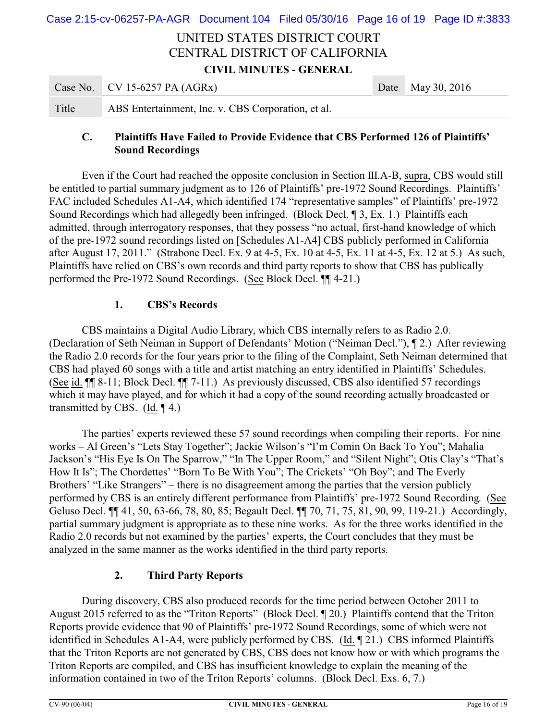# UNITED STATES DISTRICT COURT CENTRAL DISTRICT OF CALIFORNIA **CIVIL MINUTES - GENERAL** Case 2:15-cv-06257-PA-AGR Document 104 Filed 05/30/16 Page 16 of 19 Page ID #:3833

|       | Case No. CV 15-6257 PA $(AGRx)$                    | Date May 30, 2016 |
|-------|----------------------------------------------------|-------------------|
| Title | ABS Entertainment, Inc. v. CBS Corporation, et al. |                   |

## **C. Plaintiffs Have Failed to Provide Evidence that CBS Performed 126 of Plaintiffs' Sound Recordings**

Even if the Court had reached the opposite conclusion in Section III.A-B, supra, CBS would still be entitled to partial summary judgment as to 126 of Plaintiffs' pre-1972 Sound Recordings. Plaintiffs' FAC included Schedules A1-A4, which identified 174 "representative samples" of Plaintiffs' pre-1972 Sound Recordings which had allegedly been infringed. (Block Decl. ¶ 3, Ex. 1.) Plaintiffs each admitted, through interrogatory responses, that they possess "no actual, first-hand knowledge of which of the pre-1972 sound recordings listed on [Schedules A1-A4] CBS publicly performed in California after August 17, 2011." (Strabone Decl. Ex. 9 at 4-5, Ex. 10 at 4-5, Ex. 11 at 4-5, Ex. 12 at 5.) As such, Plaintiffs have relied on CBS's own records and third party reports to show that CBS has publically performed the Pre-1972 Sound Recordings. (See Block Decl. ¶¶ 4-21.)

### **1. CBS's Records**

CBS maintains a Digital Audio Library, which CBS internally refers to as Radio 2.0. (Declaration of Seth Neiman in Support of Defendants' Motion ("Neiman Decl."), ¶ 2.) After reviewing the Radio 2.0 records for the four years prior to the filing of the Complaint, Seth Neiman determined that CBS had played 60 songs with a title and artist matching an entry identified in Plaintiffs' Schedules. (See id. ¶¶ 8-11; Block Decl. ¶¶ 7-11.) As previously discussed, CBS also identified 57 recordings which it may have played, and for which it had a copy of the sound recording actually broadcasted or transmitted by CBS. (Id.  $\P$ 4.)

The parties' experts reviewed these 57 sound recordings when compiling their reports. For nine works – Al Green's "Lets Stay Together"; Jackie Wilson's "I'm Comin On Back To You"; Mahalia Jackson's "His Eye Is On The Sparrow," "In The Upper Room," and "Silent Night"; Otis Clay's "That's How It Is"; The Chordettes' "Born To Be With You"; The Crickets' "Oh Boy"; and The Everly Brothers' "Like Strangers" – there is no disagreement among the parties that the version publicly performed by CBS is an entirely different performance from Plaintiffs' pre-1972 Sound Recording. (See Geluso Decl. ¶ 41, 50, 63-66, 78, 80, 85; Begault Decl. ¶ 70, 71, 75, 81, 90, 99, 119-21.) Accordingly, partial summary judgment is appropriate as to these nine works. As for the three works identified in the Radio 2.0 records but not examined by the parties' experts, the Court concludes that they must be analyzed in the same manner as the works identified in the third party reports.

### **2. Third Party Reports**

During discovery, CBS also produced records for the time period between October 2011 to August 2015 referred to as the "Triton Reports" (Block Decl. ¶ 20.) Plaintiffs contend that the Triton Reports provide evidence that 90 of Plaintiffs' pre-1972 Sound Recordings, some of which were not identified in Schedules A1-A4, were publicly performed by CBS. (Id. ¶ 21.) CBS informed Plaintiffs that the Triton Reports are not generated by CBS, CBS does not know how or with which programs the Triton Reports are compiled, and CBS has insufficient knowledge to explain the meaning of the information contained in two of the Triton Reports' columns. (Block Decl. Exs. 6, 7.)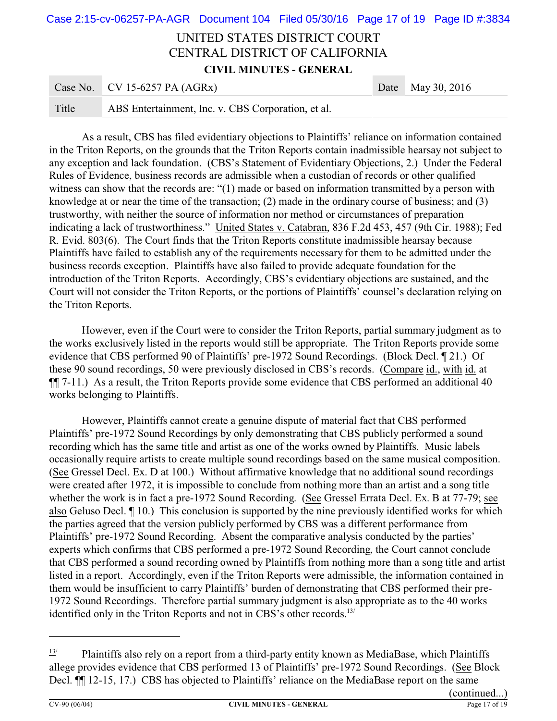# UNITED STATES DISTRICT COURT CENTRAL DISTRICT OF CALIFORNIA **CIVIL MINUTES - GENERAL** Case No. CV 15-6257 PA (AGRx) Date May 30, 2016 Case 2:15-cv-06257-PA-AGR Document 104 Filed 05/30/16 Page 17 of 19 Page ID #:3834

|       | $C_{\text{u}0}$ , $C_{\text{v}}$ , $C_{\text{v}}$ , $C_{\text{u}0}$ , $C_{\text{u}0}$ , $C_{\text{u}0}$ | $P^{\mu\nu}$ $P^{\mu\nu}$ $Q^{\nu}$ |
|-------|---------------------------------------------------------------------------------------------------------|-------------------------------------|
| Title | ABS Entertainment, Inc. v. CBS Corporation, et al.                                                      |                                     |

As a result, CBS has filed evidentiary objections to Plaintiffs' reliance on information contained in the Triton Reports, on the grounds that the Triton Reports contain inadmissible hearsay not subject to any exception and lack foundation. (CBS's Statement of Evidentiary Objections, 2.) Under the Federal Rules of Evidence, business records are admissible when a custodian of records or other qualified witness can show that the records are: "(1) made or based on information transmitted by a person with knowledge at or near the time of the transaction; (2) made in the ordinary course of business; and (3) trustworthy, with neither the source of information nor method or circumstances of preparation indicating a lack of trustworthiness." United States v. Catabran, 836 F.2d 453, 457 (9th Cir. 1988); Fed R. Evid. 803(6). The Court finds that the Triton Reports constitute inadmissible hearsay because Plaintiffs have failed to establish any of the requirements necessary for them to be admitted under the business records exception. Plaintiffs have also failed to provide adequate foundation for the introduction of the Triton Reports. Accordingly, CBS's evidentiary objections are sustained, and the Court will not consider the Triton Reports, or the portions of Plaintiffs' counsel's declaration relying on the Triton Reports.

However, even if the Court were to consider the Triton Reports, partial summary judgment as to the works exclusively listed in the reports would still be appropriate. The Triton Reports provide some evidence that CBS performed 90 of Plaintiffs' pre-1972 Sound Recordings. (Block Decl. ¶ 21.) Of these 90 sound recordings, 50 were previously disclosed in CBS's records. (Compare id., with id. at ¶¶ 7-11.) As a result, the Triton Reports provide some evidence that CBS performed an additional 40 works belonging to Plaintiffs.

However, Plaintiffs cannot create a genuine dispute of material fact that CBS performed Plaintiffs' pre-1972 Sound Recordings by only demonstrating that CBS publicly performed a sound recording which has the same title and artist as one of the works owned by Plaintiffs. Music labels occasionally require artists to create multiple sound recordings based on the same musical composition. (See Gressel Decl. Ex. D at 100.) Without affirmative knowledge that no additional sound recordings were created after 1972, it is impossible to conclude from nothing more than an artist and a song title whether the work is in fact a pre-1972 Sound Recording. (See Gressel Errata Decl. Ex. B at 77-79; see also Geluso Decl. ¶ 10.) This conclusion is supported by the nine previously identified works for which the parties agreed that the version publicly performed by CBS was a different performance from Plaintiffs' pre-1972 Sound Recording. Absent the comparative analysis conducted by the parties' experts which confirms that CBS performed a pre-1972 Sound Recording, the Court cannot conclude that CBS performed a sound recording owned by Plaintiffs from nothing more than a song title and artist listed in a report. Accordingly, even if the Triton Reports were admissible, the information contained in them would be insufficient to carry Plaintiffs' burden of demonstrating that CBS performed their pre-1972 Sound Recordings. Therefore partial summary judgment is also appropriate as to the 40 works identified only in the Triton Reports and not in CBS's other records.<sup>13/</sup>

 $\frac{13}{4}$  Plaintiffs also rely on a report from a third-party entity known as MediaBase, which Plaintiffs allege provides evidence that CBS performed 13 of Plaintiffs' pre-1972 Sound Recordings. (See Block Decl.  $\P$  12-15, 17.) CBS has objected to Plaintiffs' reliance on the MediaBase report on the same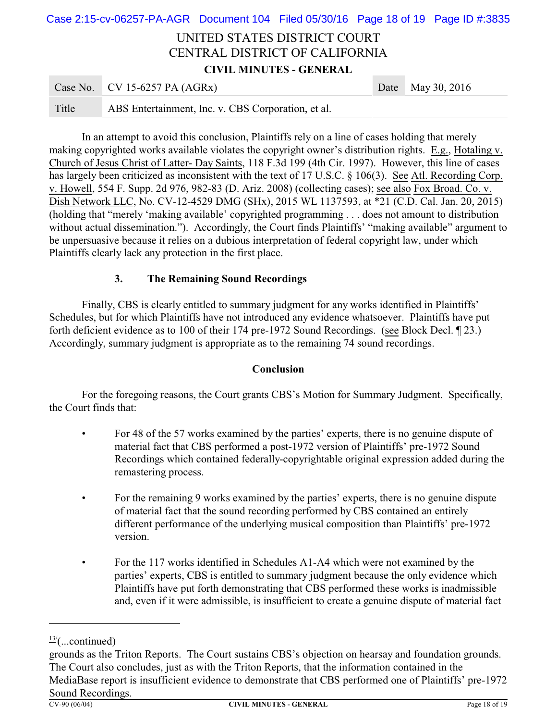# UNITED STATES DISTRICT COURT CENTRAL DISTRICT OF CALIFORNIA **CIVIL MINUTES - GENERAL** Case No. CV 15-6257 PA (AGRx) Date May 30, 2016 Case 2:15-cv-06257-PA-AGR Document 104 Filed 05/30/16 Page 18 of 19 Page ID #:3835

| Title<br>ABS Entertainment, Inc. v. CBS Corporation, et al. |  |
|-------------------------------------------------------------|--|
|                                                             |  |

In an attempt to avoid this conclusion, Plaintiffs rely on a line of cases holding that merely making copyrighted works available violates the copyright owner's distribution rights. E.g., Hotaling v. Church of Jesus Christ of Latter- Day Saints, 118 F.3d 199 (4th Cir. 1997). However, this line of cases has largely been criticized as inconsistent with the text of 17 U.S.C. § 106(3). See Atl. Recording Corp. v. Howell, 554 F. Supp. 2d 976, 982-83 (D. Ariz. 2008) (collecting cases); see also Fox Broad. Co. v. Dish Network LLC, No. CV-12-4529 DMG (SHx), 2015 WL 1137593, at \*21 (C.D. Cal. Jan. 20, 2015) (holding that "merely 'making available' copyrighted programming . . . does not amount to distribution without actual dissemination."). Accordingly, the Court finds Plaintiffs' "making available" argument to be unpersuasive because it relies on a dubious interpretation of federal copyright law, under which Plaintiffs clearly lack any protection in the first place.

### **3. The Remaining Sound Recordings**

Finally, CBS is clearly entitled to summary judgment for any works identified in Plaintiffs' Schedules, but for which Plaintiffs have not introduced any evidence whatsoever. Plaintiffs have put forth deficient evidence as to 100 of their 174 pre-1972 Sound Recordings. (see Block Decl. ¶ 23.) Accordingly, summary judgment is appropriate as to the remaining 74 sound recordings.

#### **Conclusion**

For the foregoing reasons, the Court grants CBS's Motion for Summary Judgment. Specifically, the Court finds that:

- For 48 of the 57 works examined by the parties' experts, there is no genuine dispute of material fact that CBS performed a post-1972 version of Plaintiffs' pre-1972 Sound Recordings which contained federally-copyrightable original expression added during the remastering process.
- For the remaining 9 works examined by the parties' experts, there is no genuine dispute of material fact that the sound recording performed by CBS contained an entirely different performance of the underlying musical composition than Plaintiffs' pre-1972 version.
- For the 117 works identified in Schedules A1-A4 which were not examined by the parties' experts, CBS is entitled to summary judgment because the only evidence which Plaintiffs have put forth demonstrating that CBS performed these works is inadmissible and, even if it were admissible, is insufficient to create a genuine dispute of material fact

 $\frac{13}{2}$ (...continued)

grounds as the Triton Reports. The Court sustains CBS's objection on hearsay and foundation grounds. The Court also concludes, just as with the Triton Reports, that the information contained in the MediaBase report is insufficient evidence to demonstrate that CBS performed one of Plaintiffs' pre-1972 Sound Recordings.